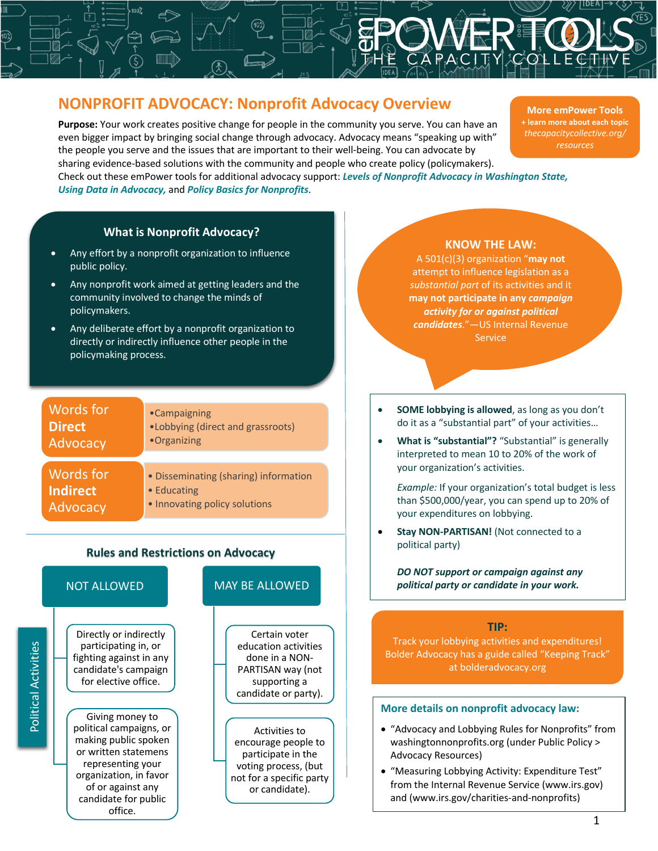## **NONPROFIT ADVOCACY: Nonprofit Advocacy Overview**

**Purpose:** Your work creates positive change for people in the community you serve. You can have an even bigger impact by bringing social change through advocacy. Advocacy means "speaking up with" the people you serve and the issues that are important to their well-being. You can advocate by sharing evidence-based solutions with the community and people who create policy (policymakers). Check out these emPower tools for additional advocacy support: *Levels of Nonprofit Advocacy in Washington State, Using Data in Advocacy,* and *Policy Basics for Nonprofits*.

 $\overline{A}$ 

**More emPower Tools + learn more about each topic** *thecapacitycollective.org/ resources*

#### **What is Nonprofit Advocacy?**

- Any effort by a nonprofit organization to influence public policy.
- Any nonprofit work aimed at getting leaders and the community involved to change the minds of policymakers.
- Any deliberate effort by a nonprofit organization to directly or indirectly influence other people in the policymaking process.

| Words for       | •Campaigning                          |
|-----------------|---------------------------------------|
| <b>Direct</b>   | •Lobbying (direct and grassroots)     |
| Advocacy        | •Organizing                           |
| Words for       | • Disseminating (sharing) information |
| <b>Indirect</b> | • Educating                           |
| Advocacy        | • Innovating policy solutions         |

# **Rules and Restrictions on Advocacy**

#### NOT ALLOWED

Directly or indirectly participating in, or fighting against in any candidate's campaign for elective office.

Giving money to political campaigns, or making public spoken or written statemens representing your organization, in favor of or against any candidate for public office.

#### MAY BE ALLOWED

Certain voter education activities done in a NON-PARTISAN way (not supporting a candidate or party).

Activities to encourage people to participate in the voting process, (but not for a specific party or candidate).

#### **KNOW THE LAW:**

A 501(c)(3) organization "**may not** attempt to influence legislation as a *substantial part* of its activities and it **may not participate in any** *campaign activity for or against political candidates*."—US Internal Revenue **Service** 

- **SOME lobbying is allowed**, as long as you don't do it as a "substantial part" of your activities…
- **What is "substantial"?** "Substantial" is generally interpreted to mean 10 to 20% of the work of your organization's activities.

*Example:* If your organization's total budget is less than \$500,000/year, you can spend up to 20% of your expenditures on lobbying.

• **Stay NON-PARTISAN!** (Not connected to a political party)

*DO NOT support or campaign against any political party or candidate in your work.* 

#### **TIP:**

Track your lobbying activities and expenditures! Bolder Advocacy has a guide called "Keeping Track" at bolderadvocacy.org

#### **More details on nonprofit advocacy law:**

- "Advocacy and Lobbying Rules for Nonprofits" from washingtonnonprofits.org (under Public Policy > Advocacy Resources)
- "Measuring Lobbying Activity: Expenditure Test" from the Internal Revenue Service (www.irs.gov) and (www.irs.gov/charities-and-nonprofits)